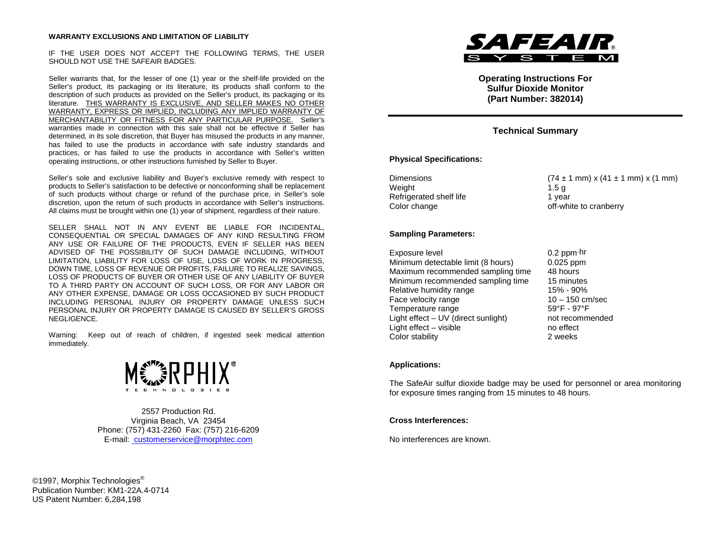#### **WARRANTY EXCLUSIONS AND LIMITATION OF LIABILITY**

IF THE USER DOES NOT ACCEPT THE FOLLOWING TERMS, THE USER SHOULD NOT USE THE SAFEAIR BADGES.

Seller warrants that, for the lesser of one (1) year or the shelf-life provided on the Seller's product, its packaging or its literature, its products shall conform to the description of such products as provided on the Seller's product, its packaging or its literature. THIS WARRANTY IS EXCLUSIVE, AND SELLER MAKES NO OTHER WARRANTY, EXPRESS OR IMPLIED, INCLUDING ANY IMPLIED WARRANTY OF MERCHANTABILITY OR FITNESS FOR ANY PARTICULAR PURPOSE. Seller's warranties made in connection with this sale shall not be effective if Seller has determined, in its sole discretion, that Buyer has misused the products in any manner, has failed to use the products in accordance with safe industry standards and practices, or has failed to use the products in accordance with Seller's written operating instructions, or other instructions furnished by Seller to Buyer.

Seller's sole and exclusive liability and Buyer's exclusive remedy with respect to products to Seller's satisfaction to be defective or nonconforming shall be replacement of such products without charge or refund of the purchase price, in Seller's sole discretion, upon the return of such products in accordance with Seller's instructions. All claims must be brought within one (1) year of shipment, regardless of their nature.

SELLER SHALL NOT IN ANY EVENT BE LIABLE FOR INCIDENTAL, CONSEQUENTIAL OR SPECIAL DAMAGES OF ANY KIND RESULTING FROM ANY USE OR FAILURE OF THE PRODUCTS, EVEN IF SELLER HAS BEEN ADVISED OF THE POSSIBILITY OF SUCH DAMAGE INCLUDING, WITHOUT LIMITATION, LIABILITY FOR LOSS OF USE, LOSS OF WORK IN PROGRESS, DOWN TIME, LOSS OF REVENUE OR PROFITS, FAILURE TO REALIZE SAVINGS, LOSS OF PRODUCTS OF BUYER OR OTHER USE OF ANY LIABILITY OF BUYER TO A THIRD PARTY ON ACCOUNT OF SUCH LOSS, OR FOR ANY LABOR OR ANY OTHER EXPENSE, DAMAGE OR LOSS OCCASIONED BY SUCH PRODUCT INCLUDING PERSONAL INJURY OR PROPERTY DAMAGE UNLESS SUCH PERSONAL INJURY OR PROPERTY DAMAGE IS CAUSED BY SELLER'S GROSS NEGLIGENCE.

Warning: Keep out of reach of children, if ingested seek medical attention immediately.



2557 Production Rd. Virginia Beach, VA 23454 Phone: (757) 431-2260 Fax: (757) 216-6209 E-mail: customerservice@morphtec.com

©1997, Morphix Technologies<sup>®</sup> Publication Number: KM1-22A.4-0714 US Patent Number: 6,284,198



**Operating Instructions For Sulfur Dioxide Monitor (Part Number: 382014)**

# **Technical Summary**

## **Physical Specifications:**

Dimensions  $(74 \pm 1 \text{ mm}) \times (41 \pm 1 \text{ mm}) \times (1 \text{ mm})$ Weight 1.5 g Refrigerated shelf life 1 year 1 year<br>Color change 1 year 1 year

off-white to cranberry

### **Sampling Parameters:**

| Exposure level                      | $0.2$ ppm $\cdot$ hr |
|-------------------------------------|----------------------|
| Minimum detectable limit (8 hours)  | $0.025$ ppm          |
| Maximum recommended sampling time   | 48 hours             |
| Minimum recommended sampling time   | 15 minutes           |
| Relative humidity range             | 15% - 90%            |
| Face velocity range                 | $10 - 150$ cm/sec    |
| Temperature range                   | 59°F - 97°F          |
| Light effect - UV (direct sunlight) | not recommended      |
| Light effect - visible              | no effect            |
| Color stability                     | 2 weeks              |

#### **Applications:**

The SafeAir sulfur dioxide badge may be used for personnel or area monitoring for exposure times ranging from 15 minutes to 48 hours.

### **Cross Interferences:**

No interferences are known.